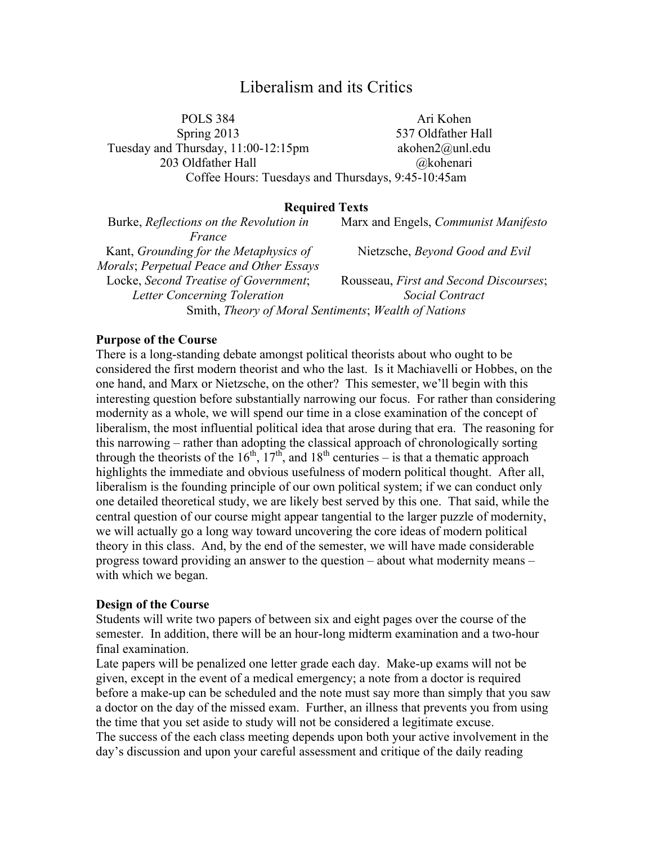# Liberalism and its Critics

POLS 384 Ari Kohen Spring 2013 537 Oldfather Hall Tuesday and Thursday, 11:00-12:15pm akohen2@unl.edu 203 Oldfather Hall @kohenari Coffee Hours: Tuesdays and Thursdays, 9:45-10:45am

#### **Required Texts**

Burke, *Reflections on the Revolution in France* Marx and Engels, *Communist Manifesto* Kant, *Grounding for the Metaphysics of Morals*; *Perpetual Peace and Other Essays* Nietzsche, *Beyond Good and Evil* Locke, *Second Treatise of Government*; *Letter Concerning Toleration* Rousseau, *First and Second Discourses*; *Social Contract* Smith, *Theory of Moral Sentiments*; *Wealth of Nations*

#### **Purpose of the Course**

There is a long-standing debate amongst political theorists about who ought to be considered the first modern theorist and who the last. Is it Machiavelli or Hobbes, on the one hand, and Marx or Nietzsche, on the other? This semester, we'll begin with this interesting question before substantially narrowing our focus. For rather than considering modernity as a whole, we will spend our time in a close examination of the concept of liberalism, the most influential political idea that arose during that era. The reasoning for this narrowing – rather than adopting the classical approach of chronologically sorting through the theorists of the  $16<sup>th</sup>$ ,  $17<sup>th</sup>$ , and  $18<sup>th</sup>$  centuries – is that a thematic approach highlights the immediate and obvious usefulness of modern political thought. After all, liberalism is the founding principle of our own political system; if we can conduct only one detailed theoretical study, we are likely best served by this one. That said, while the central question of our course might appear tangential to the larger puzzle of modernity, we will actually go a long way toward uncovering the core ideas of modern political theory in this class. And, by the end of the semester, we will have made considerable progress toward providing an answer to the question – about what modernity means – with which we began.

#### **Design of the Course**

Students will write two papers of between six and eight pages over the course of the semester. In addition, there will be an hour-long midterm examination and a two-hour final examination.

Late papers will be penalized one letter grade each day. Make-up exams will not be given, except in the event of a medical emergency; a note from a doctor is required before a make-up can be scheduled and the note must say more than simply that you saw a doctor on the day of the missed exam. Further, an illness that prevents you from using the time that you set aside to study will not be considered a legitimate excuse.

The success of the each class meeting depends upon both your active involvement in the day's discussion and upon your careful assessment and critique of the daily reading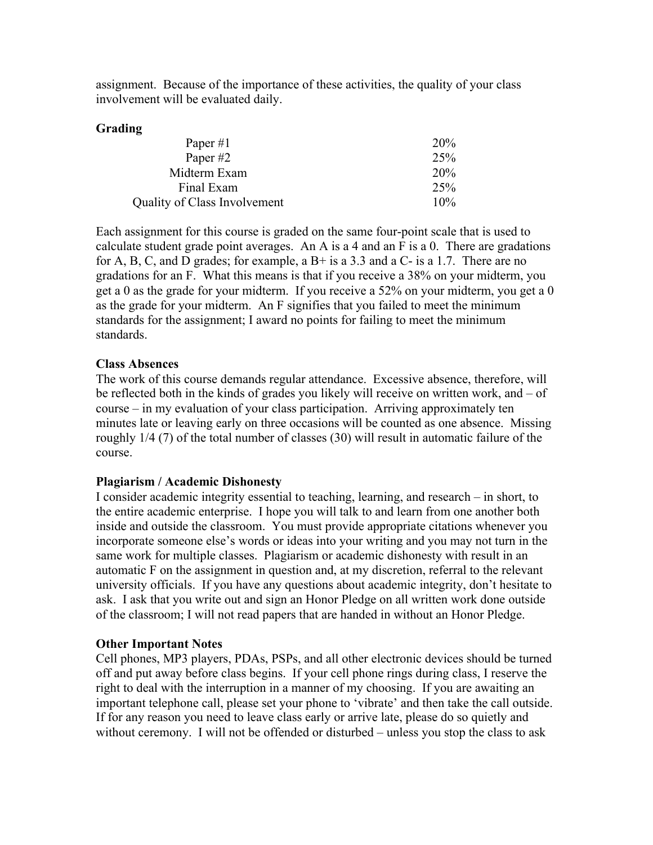assignment. Because of the importance of these activities, the quality of your class involvement will be evaluated daily.

# **Grading**

| Paper $#1$                   | <b>20%</b>      |
|------------------------------|-----------------|
| Paper #2                     | 25%             |
| Midterm Exam                 | 20 <sub>%</sub> |
| Final Exam                   | 25%             |
| Quality of Class Involvement | 10%             |

Each assignment for this course is graded on the same four-point scale that is used to calculate student grade point averages. An A is a 4 and an F is a 0. There are gradations for A, B, C, and D grades; for example, a  $B<sup>+</sup>$  is a 3.3 and a C- is a 1.7. There are no gradations for an F. What this means is that if you receive a 38% on your midterm, you get a 0 as the grade for your midterm. If you receive a 52% on your midterm, you get a 0 as the grade for your midterm. An F signifies that you failed to meet the minimum standards for the assignment; I award no points for failing to meet the minimum standards.

## **Class Absences**

The work of this course demands regular attendance. Excessive absence, therefore, will be reflected both in the kinds of grades you likely will receive on written work, and – of course – in my evaluation of your class participation. Arriving approximately ten minutes late or leaving early on three occasions will be counted as one absence. Missing roughly 1/4 (7) of the total number of classes (30) will result in automatic failure of the course.

## **Plagiarism / Academic Dishonesty**

I consider academic integrity essential to teaching, learning, and research – in short, to the entire academic enterprise. I hope you will talk to and learn from one another both inside and outside the classroom. You must provide appropriate citations whenever you incorporate someone else's words or ideas into your writing and you may not turn in the same work for multiple classes. Plagiarism or academic dishonesty with result in an automatic F on the assignment in question and, at my discretion, referral to the relevant university officials. If you have any questions about academic integrity, don't hesitate to ask. I ask that you write out and sign an Honor Pledge on all written work done outside of the classroom; I will not read papers that are handed in without an Honor Pledge.

## **Other Important Notes**

Cell phones, MP3 players, PDAs, PSPs, and all other electronic devices should be turned off and put away before class begins. If your cell phone rings during class, I reserve the right to deal with the interruption in a manner of my choosing. If you are awaiting an important telephone call, please set your phone to 'vibrate' and then take the call outside. If for any reason you need to leave class early or arrive late, please do so quietly and without ceremony. I will not be offended or disturbed – unless you stop the class to ask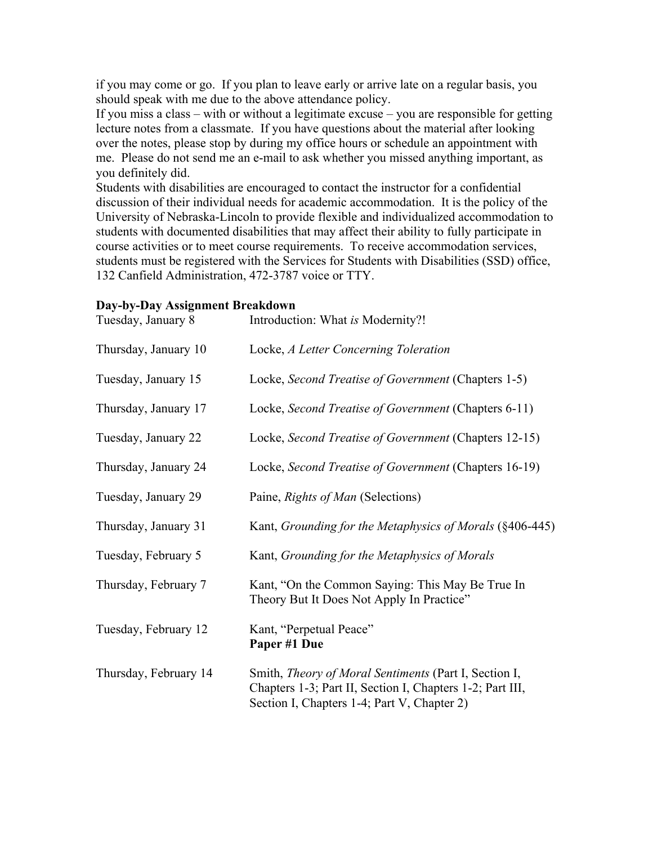if you may come or go. If you plan to leave early or arrive late on a regular basis, you should speak with me due to the above attendance policy.

If you miss a class – with or without a legitimate excuse – you are responsible for getting lecture notes from a classmate. If you have questions about the material after looking over the notes, please stop by during my office hours or schedule an appointment with me. Please do not send me an e-mail to ask whether you missed anything important, as you definitely did.

Students with disabilities are encouraged to contact the instructor for a confidential discussion of their individual needs for academic accommodation. It is the policy of the University of Nebraska-Lincoln to provide flexible and individualized accommodation to students with documented disabilities that may affect their ability to fully participate in course activities or to meet course requirements. To receive accommodation services, students must be registered with the Services for Students with Disabilities (SSD) office, 132 Canfield Administration, 472-3787 voice or TTY.

#### **Day-by-Day Assignment Breakdown**

| Tuesday, January 8    | Introduction: What is Modernity?!                                                                                                                                 |
|-----------------------|-------------------------------------------------------------------------------------------------------------------------------------------------------------------|
| Thursday, January 10  | Locke, A Letter Concerning Toleration                                                                                                                             |
| Tuesday, January 15   | Locke, Second Treatise of Government (Chapters 1-5)                                                                                                               |
| Thursday, January 17  | Locke, Second Treatise of Government (Chapters 6-11)                                                                                                              |
| Tuesday, January 22   | Locke, Second Treatise of Government (Chapters 12-15)                                                                                                             |
| Thursday, January 24  | Locke, Second Treatise of Government (Chapters 16-19)                                                                                                             |
| Tuesday, January 29   | Paine, Rights of Man (Selections)                                                                                                                                 |
| Thursday, January 31  | Kant, Grounding for the Metaphysics of Morals (§406-445)                                                                                                          |
| Tuesday, February 5   | Kant, Grounding for the Metaphysics of Morals                                                                                                                     |
| Thursday, February 7  | Kant, "On the Common Saying: This May Be True In<br>Theory But It Does Not Apply In Practice"                                                                     |
| Tuesday, February 12  | Kant, "Perpetual Peace"<br>Paper #1 Due                                                                                                                           |
| Thursday, February 14 | Smith, Theory of Moral Sentiments (Part I, Section I,<br>Chapters 1-3; Part II, Section I, Chapters 1-2; Part III,<br>Section I, Chapters 1-4; Part V, Chapter 2) |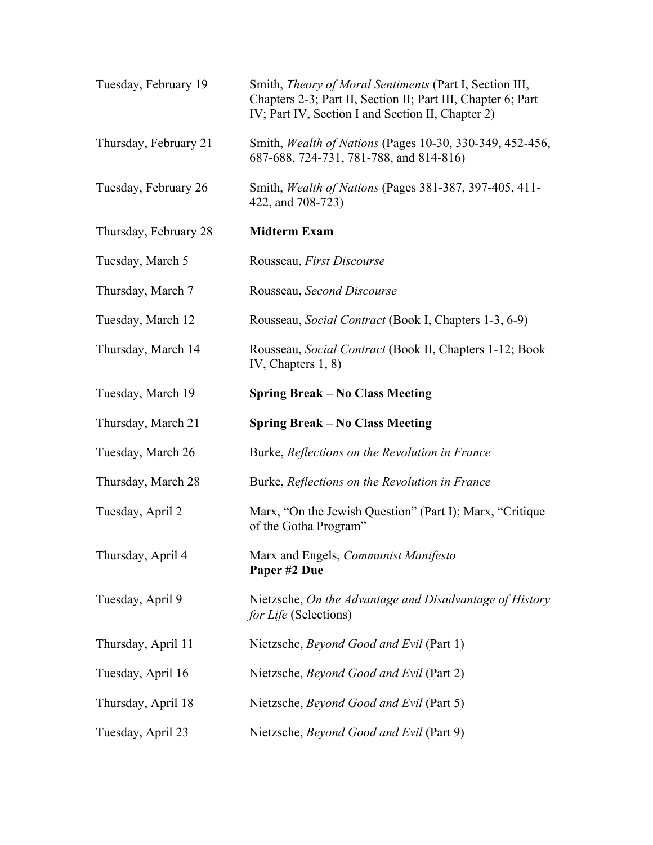| Tuesday, February 19  | Smith, Theory of Moral Sentiments (Part I, Section III,<br>Chapters 2-3; Part II, Section II; Part III, Chapter 6; Part<br>IV; Part IV, Section I and Section II, Chapter 2) |
|-----------------------|------------------------------------------------------------------------------------------------------------------------------------------------------------------------------|
| Thursday, February 21 | Smith, <i>Wealth of Nations</i> (Pages 10-30, 330-349, 452-456,<br>687-688, 724-731, 781-788, and 814-816)                                                                   |
| Tuesday, February 26  | Smith, Wealth of Nations (Pages 381-387, 397-405, 411-<br>422, and 708-723)                                                                                                  |
| Thursday, February 28 | <b>Midterm Exam</b>                                                                                                                                                          |
| Tuesday, March 5      | Rousseau, First Discourse                                                                                                                                                    |
| Thursday, March 7     | Rousseau, Second Discourse                                                                                                                                                   |
| Tuesday, March 12     | Rousseau, Social Contract (Book I, Chapters 1-3, 6-9)                                                                                                                        |
| Thursday, March 14    | Rousseau, Social Contract (Book II, Chapters 1-12; Book<br>IV, Chapters $1, 8$ )                                                                                             |
| Tuesday, March 19     | <b>Spring Break – No Class Meeting</b>                                                                                                                                       |
| Thursday, March 21    | <b>Spring Break – No Class Meeting</b>                                                                                                                                       |
|                       |                                                                                                                                                                              |
| Tuesday, March 26     | Burke, Reflections on the Revolution in France                                                                                                                               |
| Thursday, March 28    | Burke, Reflections on the Revolution in France                                                                                                                               |
| Tuesday, April 2      | Marx, "On the Jewish Question" (Part I); Marx, "Critique<br>of the Gotha Program"                                                                                            |
| Thursday, April 4     | Marx and Engels, Communist Manifesto<br>Paper #2 Due                                                                                                                         |
| Tuesday, April 9      | Nietzsche, On the Advantage and Disadvantage of History<br>for Life (Selections)                                                                                             |
| Thursday, April 11    | Nietzsche, Beyond Good and Evil (Part 1)                                                                                                                                     |
| Tuesday, April 16     | Nietzsche, Beyond Good and Evil (Part 2)                                                                                                                                     |
| Thursday, April 18    | Nietzsche, Beyond Good and Evil (Part 5)                                                                                                                                     |
| Tuesday, April 23     | Nietzsche, Beyond Good and Evil (Part 9)                                                                                                                                     |